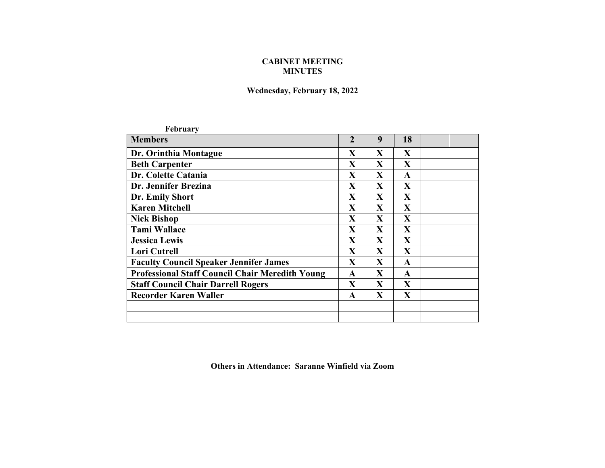## **CABINET MEETING MINUTES**

## **Wednesday, February 18, 2022**

| <b>February</b>                                        |                |              |              |  |
|--------------------------------------------------------|----------------|--------------|--------------|--|
| <b>Members</b>                                         | $\overline{2}$ | 9            | 18           |  |
| Dr. Orinthia Montague                                  | X              | X            | $\mathbf X$  |  |
| <b>Beth Carpenter</b>                                  | X              | X            | X            |  |
| Dr. Colette Catania                                    | X              | X            | $\mathbf{A}$ |  |
| Dr. Jennifer Brezina                                   | X              | X            | $\mathbf{X}$ |  |
| Dr. Emily Short                                        | X              | X            | X            |  |
| <b>Karen Mitchell</b>                                  | X              | X            | $\mathbf{X}$ |  |
| <b>Nick Bishop</b>                                     | X              | $\mathbf{X}$ | $\mathbf X$  |  |
| <b>Tami Wallace</b>                                    | X              | $\mathbf{X}$ | X            |  |
| <b>Jessica Lewis</b>                                   | X              | $\mathbf X$  | X            |  |
| <b>Lori Cutrell</b>                                    | X              | X            | $\mathbf{X}$ |  |
| <b>Faculty Council Speaker Jennifer James</b>          | X              | X            | A            |  |
| <b>Professional Staff Council Chair Meredith Young</b> | $\mathbf{A}$   | $\mathbf{X}$ | $\mathbf{A}$ |  |
| <b>Staff Council Chair Darrell Rogers</b>              | X              | X            | $\mathbf{X}$ |  |
| <b>Recorder Karen Waller</b>                           | $\mathbf{A}$   | $\mathbf X$  | $\mathbf X$  |  |
|                                                        |                |              |              |  |
|                                                        |                |              |              |  |
|                                                        |                |              |              |  |

**Others in Attendance: Saranne Winfield via Zoom**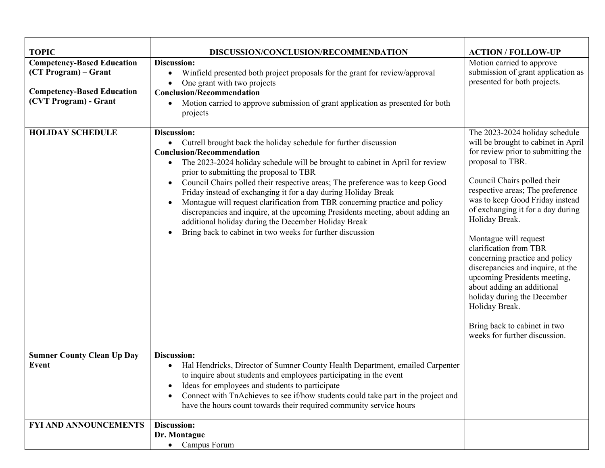| <b>TOPIC</b>                                                                                                            | DISCUSSION/CONCLUSION/RECOMMENDATION                                                                                                                                                                                                                                                                                                                                                                                                                                                                                                                                                                                                                                                                    | <b>ACTION / FOLLOW-UP</b>                                                                                                                                                                                                                                                                                                                                                                                                                                                                                                                                                                              |
|-------------------------------------------------------------------------------------------------------------------------|---------------------------------------------------------------------------------------------------------------------------------------------------------------------------------------------------------------------------------------------------------------------------------------------------------------------------------------------------------------------------------------------------------------------------------------------------------------------------------------------------------------------------------------------------------------------------------------------------------------------------------------------------------------------------------------------------------|--------------------------------------------------------------------------------------------------------------------------------------------------------------------------------------------------------------------------------------------------------------------------------------------------------------------------------------------------------------------------------------------------------------------------------------------------------------------------------------------------------------------------------------------------------------------------------------------------------|
| <b>Competency-Based Education</b><br>(CT Program) – Grant<br><b>Competency-Based Education</b><br>(CVT Program) - Grant | Discussion:<br>Winfield presented both project proposals for the grant for review/approval<br>$\bullet$<br>One grant with two projects<br>$\bullet$<br><b>Conclusion/Recommendation</b><br>Motion carried to approve submission of grant application as presented for both<br>$\bullet$<br>projects                                                                                                                                                                                                                                                                                                                                                                                                     | Motion carried to approve<br>submission of grant application as<br>presented for both projects.                                                                                                                                                                                                                                                                                                                                                                                                                                                                                                        |
| <b>HOLIDAY SCHEDULE</b>                                                                                                 | Discussion:<br>• Cutrell brought back the holiday schedule for further discussion<br><b>Conclusion/Recommendation</b><br>The 2023-2024 holiday schedule will be brought to cabinet in April for review<br>prior to submitting the proposal to TBR<br>Council Chairs polled their respective areas; The preference was to keep Good<br>$\bullet$<br>Friday instead of exchanging it for a day during Holiday Break<br>Montague will request clarification from TBR concerning practice and policy<br>discrepancies and inquire, at the upcoming Presidents meeting, about adding an<br>additional holiday during the December Holiday Break<br>Bring back to cabinet in two weeks for further discussion | The 2023-2024 holiday schedule<br>will be brought to cabinet in April<br>for review prior to submitting the<br>proposal to TBR.<br>Council Chairs polled their<br>respective areas; The preference<br>was to keep Good Friday instead<br>of exchanging it for a day during<br>Holiday Break.<br>Montague will request<br>clarification from TBR<br>concerning practice and policy<br>discrepancies and inquire, at the<br>upcoming Presidents meeting,<br>about adding an additional<br>holiday during the December<br>Holiday Break.<br>Bring back to cabinet in two<br>weeks for further discussion. |
| <b>Sumner County Clean Up Day</b><br><b>Event</b>                                                                       | Discussion:<br>Hal Hendricks, Director of Sumner County Health Department, emailed Carpenter<br>to inquire about students and employees participating in the event<br>Ideas for employees and students to participate<br>Connect with TnAchieves to see if/how students could take part in the project and<br>have the hours count towards their required community service hours                                                                                                                                                                                                                                                                                                                       |                                                                                                                                                                                                                                                                                                                                                                                                                                                                                                                                                                                                        |
| FYI AND ANNOUNCEMENTS                                                                                                   | Discussion:<br>Dr. Montague<br>• Campus Forum                                                                                                                                                                                                                                                                                                                                                                                                                                                                                                                                                                                                                                                           |                                                                                                                                                                                                                                                                                                                                                                                                                                                                                                                                                                                                        |